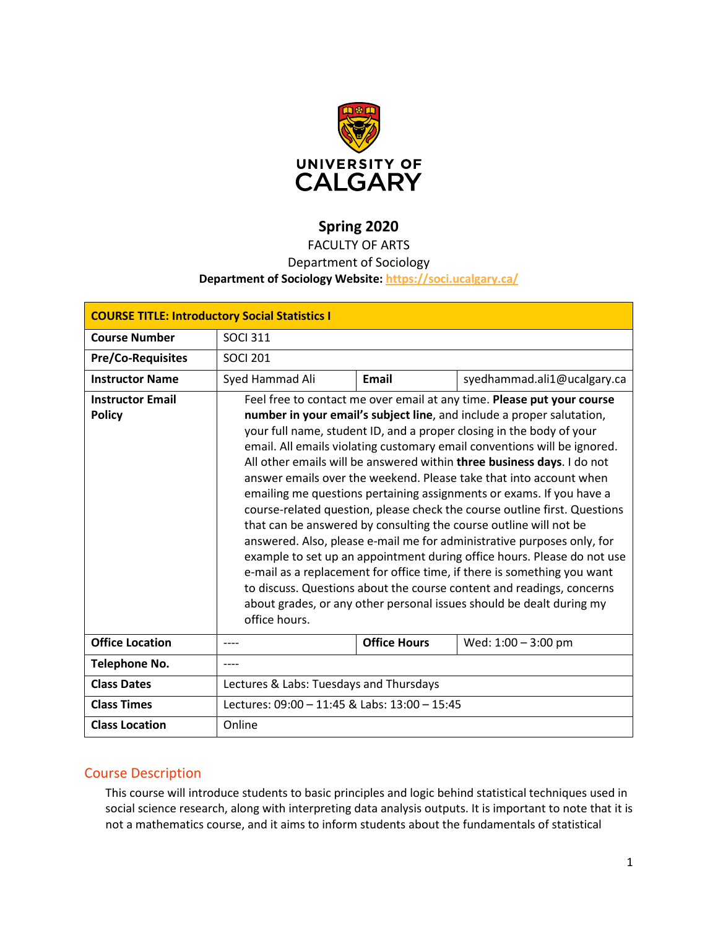

# **Spring 2020**

## FACULTY OF ARTS

### Department of Sociology

#### **Department of Sociology Website:<https://soci.ucalgary.ca/>**

| <b>COURSE TITLE: Introductory Social Statistics I</b> |                                                                                                                                                                                                                                                                                                                                                                                                                                                                                                                                                                                                                                                                                                                                                                                                                                                                                                                                                                                                                                                                                 |                     |                             |  |  |  |
|-------------------------------------------------------|---------------------------------------------------------------------------------------------------------------------------------------------------------------------------------------------------------------------------------------------------------------------------------------------------------------------------------------------------------------------------------------------------------------------------------------------------------------------------------------------------------------------------------------------------------------------------------------------------------------------------------------------------------------------------------------------------------------------------------------------------------------------------------------------------------------------------------------------------------------------------------------------------------------------------------------------------------------------------------------------------------------------------------------------------------------------------------|---------------------|-----------------------------|--|--|--|
| <b>Course Number</b>                                  | <b>SOCI 311</b>                                                                                                                                                                                                                                                                                                                                                                                                                                                                                                                                                                                                                                                                                                                                                                                                                                                                                                                                                                                                                                                                 |                     |                             |  |  |  |
| <b>Pre/Co-Requisites</b>                              | <b>SOCI 201</b>                                                                                                                                                                                                                                                                                                                                                                                                                                                                                                                                                                                                                                                                                                                                                                                                                                                                                                                                                                                                                                                                 |                     |                             |  |  |  |
| <b>Instructor Name</b>                                | Syed Hammad Ali                                                                                                                                                                                                                                                                                                                                                                                                                                                                                                                                                                                                                                                                                                                                                                                                                                                                                                                                                                                                                                                                 | <b>Email</b>        | syedhammad.ali1@ucalgary.ca |  |  |  |
| <b>Instructor Email</b><br><b>Policy</b>              | Feel free to contact me over email at any time. Please put your course<br>number in your email's subject line, and include a proper salutation,<br>your full name, student ID, and a proper closing in the body of your<br>email. All emails violating customary email conventions will be ignored.<br>All other emails will be answered within three business days. I do not<br>answer emails over the weekend. Please take that into account when<br>emailing me questions pertaining assignments or exams. If you have a<br>course-related question, please check the course outline first. Questions<br>that can be answered by consulting the course outline will not be<br>answered. Also, please e-mail me for administrative purposes only, for<br>example to set up an appointment during office hours. Please do not use<br>e-mail as a replacement for office time, if there is something you want<br>to discuss. Questions about the course content and readings, concerns<br>about grades, or any other personal issues should be dealt during my<br>office hours. |                     |                             |  |  |  |
| <b>Office Location</b>                                |                                                                                                                                                                                                                                                                                                                                                                                                                                                                                                                                                                                                                                                                                                                                                                                                                                                                                                                                                                                                                                                                                 | <b>Office Hours</b> | Wed: 1:00 - 3:00 pm         |  |  |  |
| <b>Telephone No.</b>                                  |                                                                                                                                                                                                                                                                                                                                                                                                                                                                                                                                                                                                                                                                                                                                                                                                                                                                                                                                                                                                                                                                                 |                     |                             |  |  |  |
| <b>Class Dates</b>                                    | Lectures & Labs: Tuesdays and Thursdays                                                                                                                                                                                                                                                                                                                                                                                                                                                                                                                                                                                                                                                                                                                                                                                                                                                                                                                                                                                                                                         |                     |                             |  |  |  |
| <b>Class Times</b>                                    | Lectures: 09:00 - 11:45 & Labs: 13:00 - 15:45                                                                                                                                                                                                                                                                                                                                                                                                                                                                                                                                                                                                                                                                                                                                                                                                                                                                                                                                                                                                                                   |                     |                             |  |  |  |
| <b>Class Location</b>                                 | Online                                                                                                                                                                                                                                                                                                                                                                                                                                                                                                                                                                                                                                                                                                                                                                                                                                                                                                                                                                                                                                                                          |                     |                             |  |  |  |

### Course Description

This course will introduce students to basic principles and logic behind statistical techniques used in social science research, along with interpreting data analysis outputs. It is important to note that it is not a mathematics course, and it aims to inform students about the fundamentals of statistical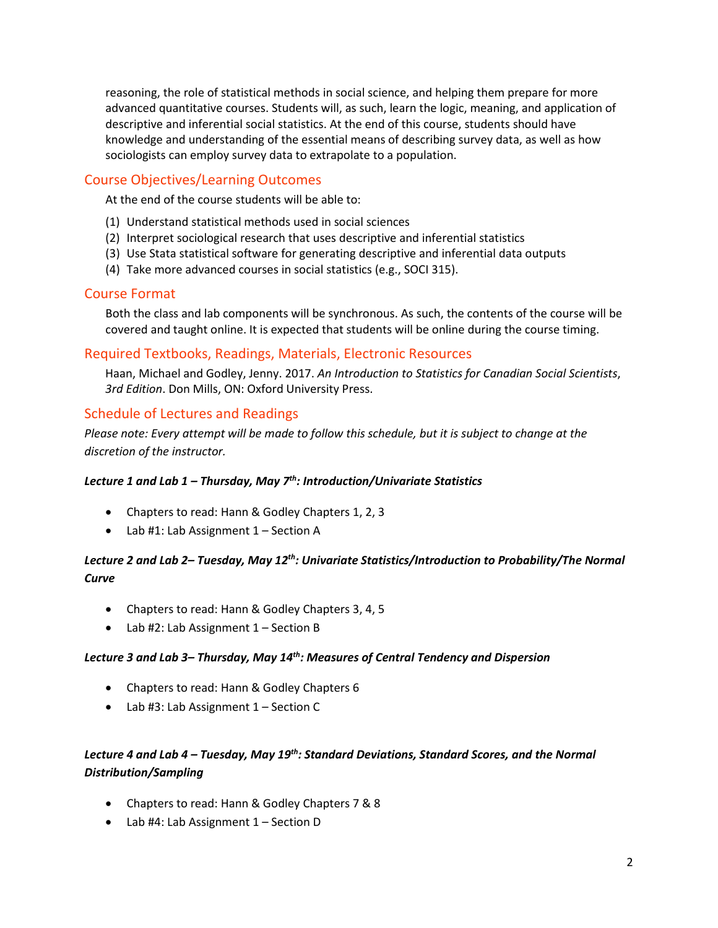reasoning, the role of statistical methods in social science, and helping them prepare for more advanced quantitative courses. Students will, as such, learn the logic, meaning, and application of descriptive and inferential social statistics. At the end of this course, students should have knowledge and understanding of the essential means of describing survey data, as well as how sociologists can employ survey data to extrapolate to a population.

### Course Objectives/Learning Outcomes

At the end of the course students will be able to:

- (1) Understand statistical methods used in social sciences
- (2) Interpret sociological research that uses descriptive and inferential statistics
- (3) Use Stata statistical software for generating descriptive and inferential data outputs
- (4) Take more advanced courses in social statistics (e.g., SOCI 315).

### Course Format

Both the class and lab components will be synchronous. As such, the contents of the course will be covered and taught online. It is expected that students will be online during the course timing.

### Required Textbooks, Readings, Materials, Electronic Resources

Haan, Michael and Godley, Jenny. 2017. *An Introduction to Statistics for Canadian Social Scientists*, *3rd Edition*. Don Mills, ON: Oxford University Press.

### Schedule of Lectures and Readings

*Please note: Every attempt will be made to follow this schedule, but it is subject to change at the discretion of the instructor.*

### *Lecture 1 and Lab 1 – Thursday, May 7th: Introduction/Univariate Statistics*

- Chapters to read: Hann & Godley Chapters 1, 2, 3
- Lab #1: Lab Assignment 1 Section A

### *Lecture 2 and Lab 2– Tuesday, May 12th: Univariate Statistics/Introduction to Probability/The Normal Curve*

- Chapters to read: Hann & Godley Chapters 3, 4, 5
- Lab #2: Lab Assignment 1 Section B

#### *Lecture 3 and Lab 3– Thursday, May 14th: Measures of Central Tendency and Dispersion*

- Chapters to read: Hann & Godley Chapters 6
- Lab #3: Lab Assignment 1 Section C

### *Lecture 4 and Lab 4 – Tuesday, May 19th: Standard Deviations, Standard Scores, and the Normal Distribution/Sampling*

- Chapters to read: Hann & Godley Chapters 7 & 8
- Lab #4: Lab Assignment 1 Section D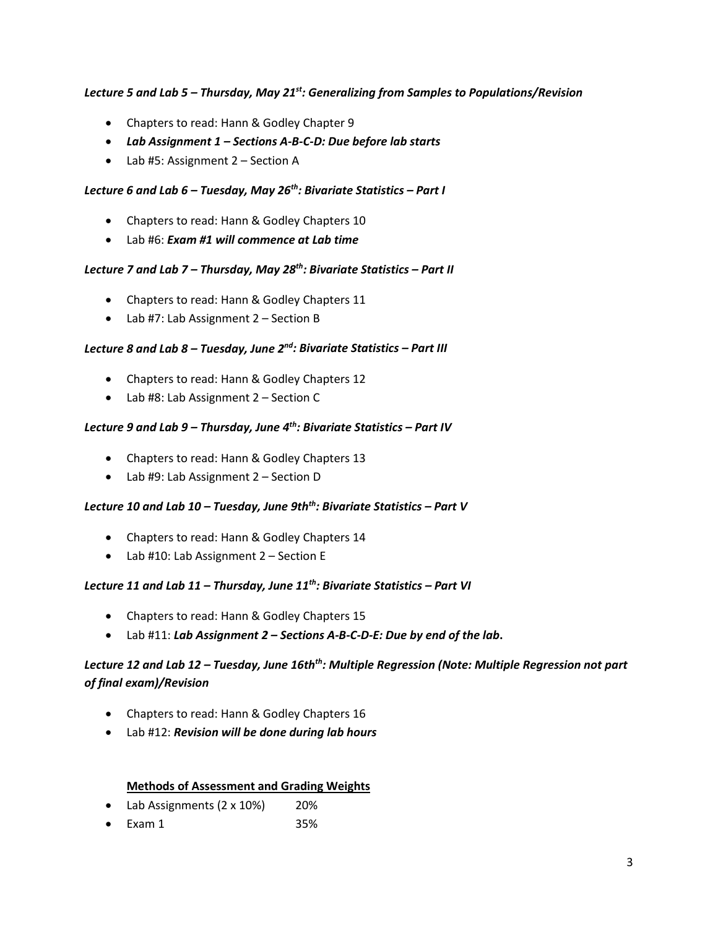#### *Lecture 5 and Lab 5 – Thursday, May 21st: Generalizing from Samples to Populations/Revision*

- Chapters to read: Hann & Godley Chapter 9
- *Lab Assignment 1 – Sections A-B-C-D: Due before lab starts*
- Lab #5: Assignment 2 Section A

#### *Lecture 6 and Lab 6 – Tuesday, May 26th: Bivariate Statistics – Part I*

- Chapters to read: Hann & Godley Chapters 10
- Lab #6: *Exam #1 will commence at Lab time*

#### *Lecture 7 and Lab 7 – Thursday, May 28th: Bivariate Statistics – Part II*

- Chapters to read: Hann & Godley Chapters 11
- Lab #7: Lab Assignment 2 Section B

#### *Lecture 8 and Lab 8 – Tuesday, June 2nd : Bivariate Statistics – Part III*

- Chapters to read: Hann & Godley Chapters 12
- Lab #8: Lab Assignment 2 Section C

#### *Lecture 9 and Lab 9 – Thursday, June 4th: Bivariate Statistics – Part IV*

- Chapters to read: Hann & Godley Chapters 13
- Lab #9: Lab Assignment 2 Section D

#### *Lecture 10 and Lab 10 – Tuesday, June 9thth: Bivariate Statistics – Part V*

- Chapters to read: Hann & Godley Chapters 14
- Lab #10: Lab Assignment 2 Section E

#### *Lecture 11 and Lab 11 – Thursday, June 11th: Bivariate Statistics – Part VI*

- Chapters to read: Hann & Godley Chapters 15
- Lab #11: *Lab Assignment 2 – Sections A-B-C-D-E: Due by end of the lab***.**

### *Lecture 12 and Lab 12 – Tuesday, June 16thth: Multiple Regression (Note: Multiple Regression not part of final exam)/Revision*

- Chapters to read: Hann & Godley Chapters 16
- Lab #12: *Revision will be done during lab hours*

#### **Methods of Assessment and Grading Weights**

- Lab Assignments (2 x 10%) 20%
- $Exam 1$  35%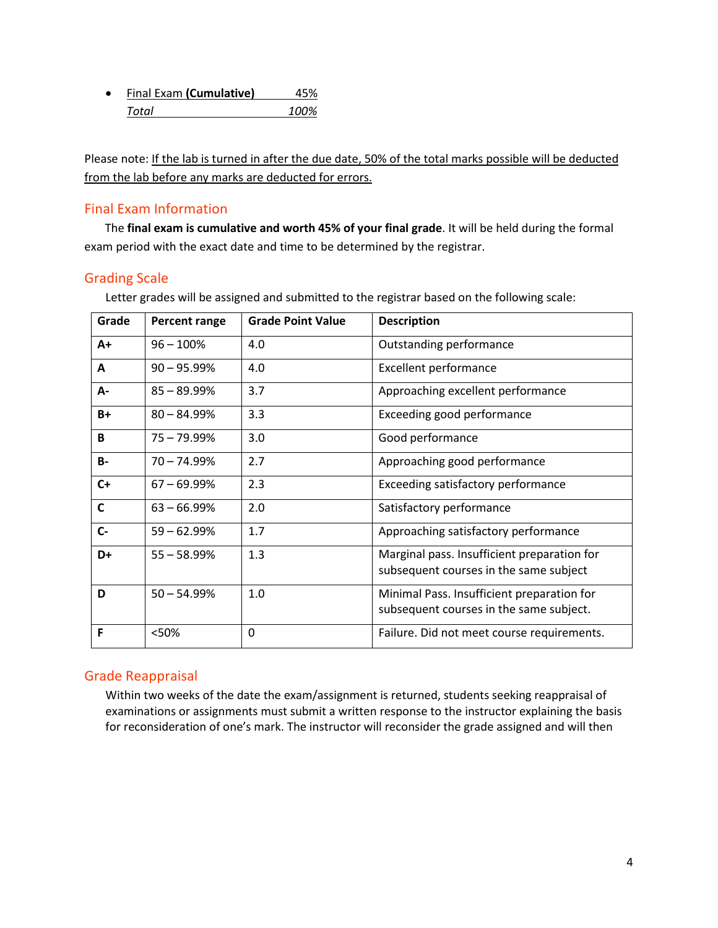| $\bullet$ | Final Exam (Cumulative) | 45%  |
|-----------|-------------------------|------|
|           | Total                   | 100% |

Please note: If the lab is turned in after the due date, 50% of the total marks possible will be deducted from the lab before any marks are deducted for errors.

### Final Exam Information

 The **final exam is cumulative and worth 45% of your final grade**. It will be held during the formal exam period with the exact date and time to be determined by the registrar.

### Grading Scale

| Grade        | Percent range | <b>Grade Point Value</b> | <b>Description</b>                                                                    |
|--------------|---------------|--------------------------|---------------------------------------------------------------------------------------|
| $A+$         | $96 - 100%$   | 4.0                      | Outstanding performance                                                               |
| A            | $90 - 95.99%$ | 4.0                      | <b>Excellent performance</b>                                                          |
| А-           | $85 - 89.99%$ | 3.7                      | Approaching excellent performance                                                     |
| B+           | $80 - 84.99%$ | 3.3                      | Exceeding good performance                                                            |
| B            | $75 - 79.99%$ | 3.0                      | Good performance                                                                      |
| <b>B-</b>    | $70 - 74.99%$ | 2.7                      | Approaching good performance                                                          |
| $C+$         | $67 - 69.99%$ | 2.3                      | Exceeding satisfactory performance                                                    |
| $\mathsf{C}$ | $63 - 66.99%$ | 2.0                      | Satisfactory performance                                                              |
| $C -$        | $59 - 62.99%$ | 1.7                      | Approaching satisfactory performance                                                  |
| D+           | $55 - 58.99%$ | 1.3                      | Marginal pass. Insufficient preparation for<br>subsequent courses in the same subject |
| D            | $50 - 54.99%$ | 1.0                      | Minimal Pass. Insufficient preparation for<br>subsequent courses in the same subject. |
| F            | <50%          | 0                        | Failure. Did not meet course requirements.                                            |

Letter grades will be assigned and submitted to the registrar based on the following scale:

### Grade Reappraisal

Within two weeks of the date the exam/assignment is returned, students seeking reappraisal of examinations or assignments must submit a written response to the instructor explaining the basis for reconsideration of one's mark. The instructor will reconsider the grade assigned and will then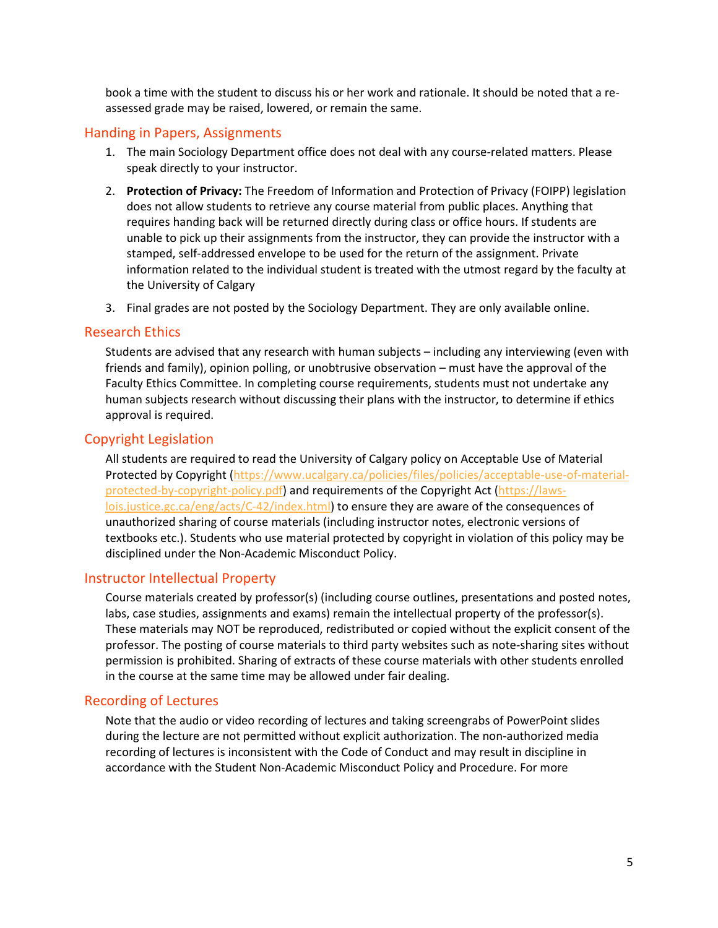book a time with the student to discuss his or her work and rationale. It should be noted that a reassessed grade may be raised, lowered, or remain the same.

### Handing in Papers, Assignments

- 1. The main Sociology Department office does not deal with any course-related matters. Please speak directly to your instructor.
- 2. **Protection of Privacy:** The Freedom of Information and Protection of Privacy (FOIPP) legislation does not allow students to retrieve any course material from public places. Anything that requires handing back will be returned directly during class or office hours. If students are unable to pick up their assignments from the instructor, they can provide the instructor with a stamped, self-addressed envelope to be used for the return of the assignment. Private information related to the individual student is treated with the utmost regard by the faculty at the University of Calgary
- 3. Final grades are not posted by the Sociology Department. They are only available online.

#### Research Ethics

Students are advised that any research with human subjects – including any interviewing (even with friends and family), opinion polling, or unobtrusive observation – must have the approval of the Faculty Ethics Committee. In completing course requirements, students must not undertake any human subjects research without discussing their plans with the instructor, to determine if ethics approval is required.

### Copyright Legislation

All students are required to read the University of Calgary policy on Acceptable Use of Material Protected by Copyright [\(https://www.ucalgary.ca/policies/files/policies/acceptable-use-of-material](https://www.ucalgary.ca/policies/files/policies/acceptable-use-of-material-protected-by-copyright-policy.pdf)[protected-by-copyright-policy.pdf\)](https://www.ucalgary.ca/policies/files/policies/acceptable-use-of-material-protected-by-copyright-policy.pdf) and requirements of the Copyright Act [\(https://laws](https://laws-lois.justice.gc.ca/eng/acts/C-42/index.html)[lois.justice.gc.ca/eng/acts/C-42/index.html\)](https://laws-lois.justice.gc.ca/eng/acts/C-42/index.html) to ensure they are aware of the consequences of unauthorized sharing of course materials (including instructor notes, electronic versions of textbooks etc.). Students who use material protected by copyright in violation of this policy may be disciplined under the Non-Academic Misconduct Policy.

### Instructor Intellectual Property

Course materials created by professor(s) (including course outlines, presentations and posted notes, labs, case studies, assignments and exams) remain the intellectual property of the professor(s). These materials may NOT be reproduced, redistributed or copied without the explicit consent of the professor. The posting of course materials to third party websites such as note-sharing sites without permission is prohibited. Sharing of extracts of these course materials with other students enrolled in the course at the same time may be allowed under fair dealing.

### Recording of Lectures

Note that the audio or video recording of lectures and taking screengrabs of PowerPoint slides during the lecture are not permitted without explicit authorization. The non-authorized media recording of lectures is inconsistent with the Code of Conduct and may result in discipline in accordance with the Student Non-Academic Misconduct Policy and Procedure. For more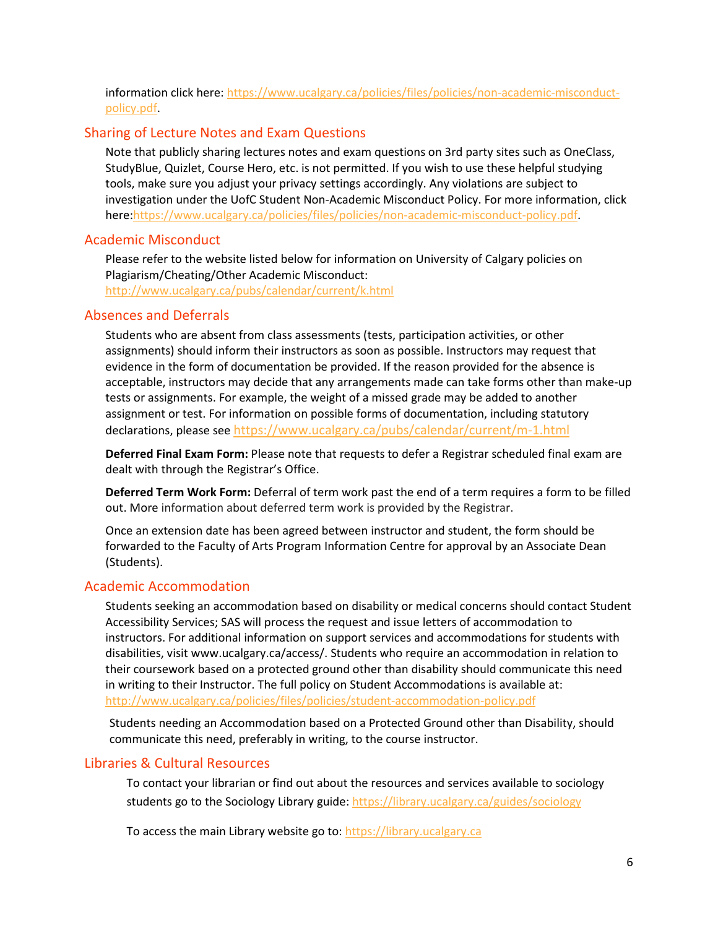information click here: [https://www.ucalgary.ca/policies/files/policies/non-academic-misconduct](https://www.ucalgary.ca/policies/files/policies/non-academic-misconduct-policy.pdf)[policy.pdf.](https://www.ucalgary.ca/policies/files/policies/non-academic-misconduct-policy.pdf)

#### Sharing of Lecture Notes and Exam Questions

Note that publicly sharing lectures notes and exam questions on 3rd party sites such as OneClass, StudyBlue, Quizlet, Course Hero, etc. is not permitted. If you wish to use these helpful studying tools, make sure you adjust your privacy settings accordingly. Any violations are subject to investigation under the UofC Student Non-Academic Misconduct Policy. For more information, click here[:https://www.ucalgary.ca/policies/files/policies/non-academic-misconduct-policy.pdf.](https://www.ucalgary.ca/policies/files/policies/non-academic-misconduct-policy.pdf)

#### Academic Misconduct

Please refer to the website listed below for information on University of Calgary policies on Plagiarism/Cheating/Other Academic Misconduct: <http://www.ucalgary.ca/pubs/calendar/current/k.html>

#### Absences and Deferrals

Students who are absent from class assessments (tests, participation activities, or other assignments) should inform their instructors as soon as possible. Instructors may request that evidence in the form of documentation be provided. If the reason provided for the absence is acceptable, instructors may decide that any arrangements made can take forms other than make-up tests or assignments. For example, the weight of a missed grade may be added to another assignment or test. For information on possible forms of documentation, including statutory declarations, please see <https://www.ucalgary.ca/pubs/calendar/current/m-1.html>

**Deferred Final Exam Form:** Please note that requests to defer a Registrar scheduled final exam are dealt with through the Registrar's Office.

**Deferred Term Work Form:** Deferral of term work past the end of a term requires a form to be filled out. More information about deferred term work is provided by the Registrar.

Once an extension date has been agreed between instructor and student, the form should be forwarded to the Faculty of Arts Program Information Centre for approval by an Associate Dean (Students).

#### Academic Accommodation

Students seeking an accommodation based on disability or medical concerns should contact Student Accessibility Services; SAS will process the request and issue letters of accommodation to instructors. For additional information on support services and accommodations for students with disabilities, visit www.ucalgary.ca/access/. Students who require an accommodation in relation to their coursework based on a protected ground other than disability should communicate this need in writing to their Instructor. The full policy on Student Accommodations is available at: <http://www.ucalgary.ca/policies/files/policies/student-accommodation-policy.pdf>

Students needing an Accommodation based on a Protected Ground other than Disability, should communicate this need, preferably in writing, to the course instructor.

#### Libraries & Cultural Resources

To contact your librarian or find out about the resources and services available to sociology students go to the Sociology Library guide[: https://library.ucalgary.ca/guides/sociology](https://library.ucalgary.ca/guides/sociology)

To access the main Library website go to: [https://library.ucalgary.ca](https://library.ucalgary.ca/)